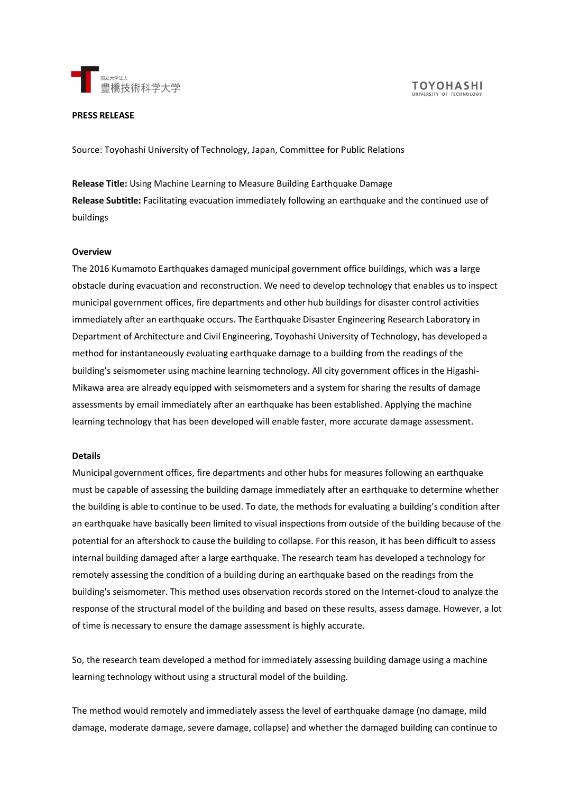

#### **PRESS RELEASE**

Source: Toyohashi University of Technology, Japan, Committee for Public Relations

**Release Title:** Using Machine Learning to Measure Building Earthquake Damage **Release Subtitle:** Facilitating evacuation immediately following an earthquake and the continued use of buildings

#### **Overview**

The 2016 Kumamoto Earthquakes damaged municipal government office buildings, which was a large obstacle during evacuation and reconstruction. We need to develop technology that enables us to inspect municipal government offices, fire departments and other hub buildings for disaster control activities immediately after an earthquake occurs. The Earthquake Disaster Engineering Research Laboratory in Department of Architecture and Civil Engineering, Toyohashi University of Technology, has developed a method for instantaneously evaluating earthquake damage to a building from the readings of the building's seismometer using machine learning technology. All city government offices in the Higashi-Mikawa area are already equipped with seismometers and a system for sharing the results of damage assessments by email immediately after an earthquake has been established. Applying the machine learning technology that has been developed will enable faster, more accurate damage assessment.

# **Details**

Municipal government offices, fire departments and other hubs for measures following an earthquake must be capable of assessing the building damage immediately after an earthquake to determine whether the building is able to continue to be used. To date, the methods for evaluating a building's condition after an earthquake have basically been limited to visual inspections from outside of the building because of the potential for an aftershock to cause the building to collapse. For this reason, it has been difficult to assess internal building damaged after a large earthquake. The research team has developed a technology for remotely assessing the condition of a building during an earthquake based on the readings from the building's seismometer. This method uses observation records stored on the Internet-cloud to analyze the response of the structural model of the building and based on these results, assess damage. However, a lot of time is necessary to ensure the damage assessment is highly accurate.

So, the research team developed a method for immediately assessing building damage using a machine learning technology without using a structural model of the building.

The method would remotely and immediately assess the level of earthquake damage (no damage, mild damage, moderate damage, severe damage, collapse) and whether the damaged building can continue to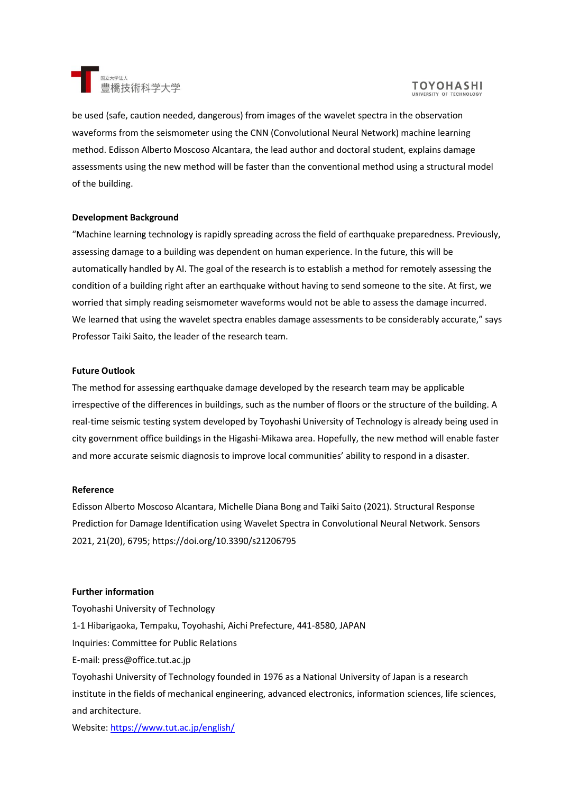

# **TOYOHASHI**

be used (safe, caution needed, dangerous) from images of the wavelet spectra in the observation waveforms from the seismometer using the CNN (Convolutional Neural Network) machine learning method. Edisson Alberto Moscoso Alcantara, the lead author and doctoral student, explains damage assessments using the new method will be faster than the conventional method using a structural model of the building.

# **Development Background**

"Machine learning technology is rapidly spreading across the field of earthquake preparedness. Previously, assessing damage to a building was dependent on human experience. In the future, this will be automatically handled by AI. The goal of the research is to establish a method for remotely assessing the condition of a building right after an earthquake without having to send someone to the site. At first, we worried that simply reading seismometer waveforms would not be able to assess the damage incurred. We learned that using the wavelet spectra enables damage assessments to be considerably accurate," says Professor Taiki Saito, the leader of the research team.

# **Future Outlook**

The method for assessing earthquake damage developed by the research team may be applicable irrespective of the differences in buildings, such as the number of floors or the structure of the building. A real-time seismic testing system developed by Toyohashi University of Technology is already being used in city government office buildings in the Higashi-Mikawa area. Hopefully, the new method will enable faster and more accurate seismic diagnosis to improve local communities' ability to respond in a disaster.

# **Reference**

Edisson Alberto Moscoso Alcantara, Michelle Diana Bong and Taiki Saito (2021). Structural Response Prediction for Damage Identification using Wavelet Spectra in Convolutional Neural Network. Sensors 2021, 21(20), 6795; https://doi.org/10.3390/s21206795

# **Further information**

Toyohashi University of Technology 1-1 Hibarigaoka, Tempaku, Toyohashi, Aichi Prefecture, 441-8580, JAPAN Inquiries: Committee for Public Relations E-mail: press@office.tut.ac.jp Toyohashi University of Technology founded in 1976 as a National University of Japan is a research institute in the fields of mechanical engineering, advanced electronics, information sciences, life sciences, and architecture.

Website:<https://www.tut.ac.jp/english/>